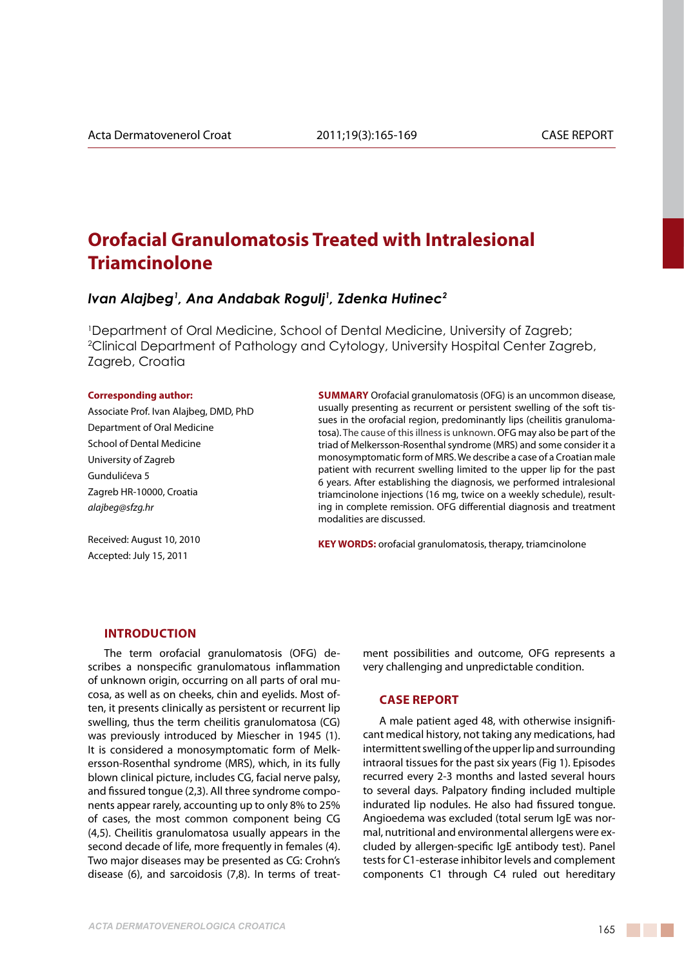# **Orofacial Granulomatosis Treated with Intralesional Triamcinolone**

## *Ivan Alajbeg1 , Ana Andabak Rogulj1 , Zdenka Hutinec2*

1 Department of Oral Medicine, School of Dental Medicine, University of Zagreb; 2 Clinical Department of Pathology and Cytology, University Hospital Center Zagreb, Zagreb, Croatia

#### **Corresponding author:**

Associate Prof. Ivan Alajbeg, DMD, PhD Department of Oral Medicine School of Dental Medicine University of Zagreb Gundulićeva 5 Zagreb HR-10000, Croatia *alajbeg@sfzg.hr*

**Summary** Orofacial granulomatosis (OFG) is an uncommon disease, usually presenting as recurrent or persistent swelling of the soft tissues in the orofacial region, predominantly lips (cheilitis granulomatosa). The cause of this illness is unknown. OFG may also be part of the triad of Melkersson-Rosenthal syndrome (MRS) and some consider it a monosymptomatic form of MRS. We describe a case of a Croatian male patient with recurrent swelling limited to the upper lip for the past 6 years. After establishing the diagnosis, we performed intralesional triamcinolone injections (16 mg, twice on a weekly schedule), resulting in complete remission. OFG differential diagnosis and treatment modalities are discussed.

Received: August 10, 2010 Accepted: July 15, 2011

**KEY WORDS:** orofacial granulomatosis, therapy, triamcinolone

#### **Introduction**

The term orofacial granulomatosis (OFG) describes a nonspecific granulomatous inflammation of unknown origin, occurring on all parts of oral mucosa, as well as on cheeks, chin and eyelids. Most often, it presents clinically as persistent or recurrent lip swelling, thus the term cheilitis granulomatosa (CG) was previously introduced by Miescher in 1945 (1). It is considered a monosymptomatic form of Melkersson-Rosenthal syndrome (MRS), which, in its fully blown clinical picture, includes CG, facial nerve palsy, and fissured tongue (2,3). All three syndrome components appear rarely, accounting up to only 8% to 25% of cases, the most common component being CG (4,5). Cheilitis granulomatosa usually appears in the second decade of life, more frequently in females (4). Two major diseases may be presented as CG: Crohn's disease (6), and sarcoidosis (7,8). In terms of treatment possibilities and outcome, OFG represents a very challenging and unpredictable condition.

## **Case report**

A male patient aged 48, with otherwise insignificant medical history, not taking any medications, had intermittent swelling of the upper lip and surrounding intraoral tissues for the past six years (Fig 1). Episodes recurred every 2-3 months and lasted several hours to several days. Palpatory finding included multiple indurated lip nodules. He also had fissured tongue. Angioedema was excluded (total serum IgE was normal, nutritional and environmental allergens were excluded by allergen-specific IgE antibody test). Panel tests for C1-esterase inhibitor levels and complement components C1 through C4 ruled out hereditary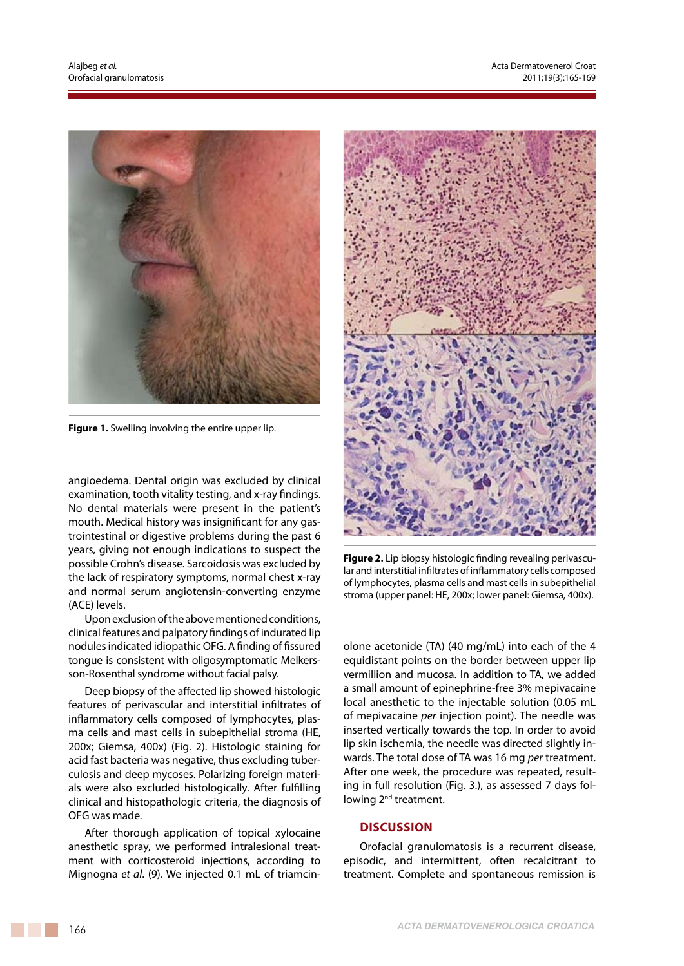

**Figure 1.** Swelling involving the entire upper lip.

angioedema. Dental origin was excluded by clinical examination, tooth vitality testing, and x-ray findings. No dental materials were present in the patient's mouth. Medical history was insignificant for any gastrointestinal or digestive problems during the past 6 years, giving not enough indications to suspect the possible Crohn's disease. Sarcoidosis was excluded by the lack of respiratory symptoms, normal chest x-ray and normal serum angiotensin-converting enzyme (ACE) levels.

Upon exclusion of the above mentioned conditions, clinical features and palpatory findings of indurated lip nodules indicated idiopathic OFG. A finding of fissured tongue is consistent with oligosymptomatic Melkersson-Rosenthal syndrome without facial palsy.

Deep biopsy of the affected lip showed histologic features of perivascular and interstitial infiltrates of inflammatory cells composed of lymphocytes, plasma cells and mast cells in subepithelial stroma (HE, 200x; Giemsa, 400x) (Fig. 2). Histologic staining for acid fast bacteria was negative, thus excluding tuberculosis and deep mycoses. Polarizing foreign materials were also excluded histologically. After fulfilling clinical and histopathologic criteria, the diagnosis of OFG was made.

After thorough application of topical xylocaine anesthetic spray, we performed intralesional treatment with corticosteroid injections, according to Mignogna *et al*. (9). We injected 0.1 mL of triamcin-



**Figure 2.** Lip biopsy histologic finding revealing perivascular and interstitial infiltrates of inflammatory cells composed of lymphocytes, plasma cells and mast cells in subepithelial stroma (upper panel: HE, 200x; lower panel: Giemsa, 400x).

olone acetonide (TA) (40 mg/mL) into each of the 4 equidistant points on the border between upper lip vermillion and mucosa. In addition to TA, we added a small amount of epinephrine-free 3% mepivacaine local anesthetic to the injectable solution (0.05 mL of mepivacaine *per* injection point). The needle was inserted vertically towards the top. In order to avoid lip skin ischemia, the needle was directed slightly inwards. The total dose of TA was 16 mg *per* treatment. After one week, the procedure was repeated, resulting in full resolution (Fig. 3.), as assessed 7 days following 2<sup>nd</sup> treatment.

## **Discussion**

Orofacial granulomatosis is a recurrent disease, episodic, and intermittent, often recalcitrant to treatment. Complete and spontaneous remission is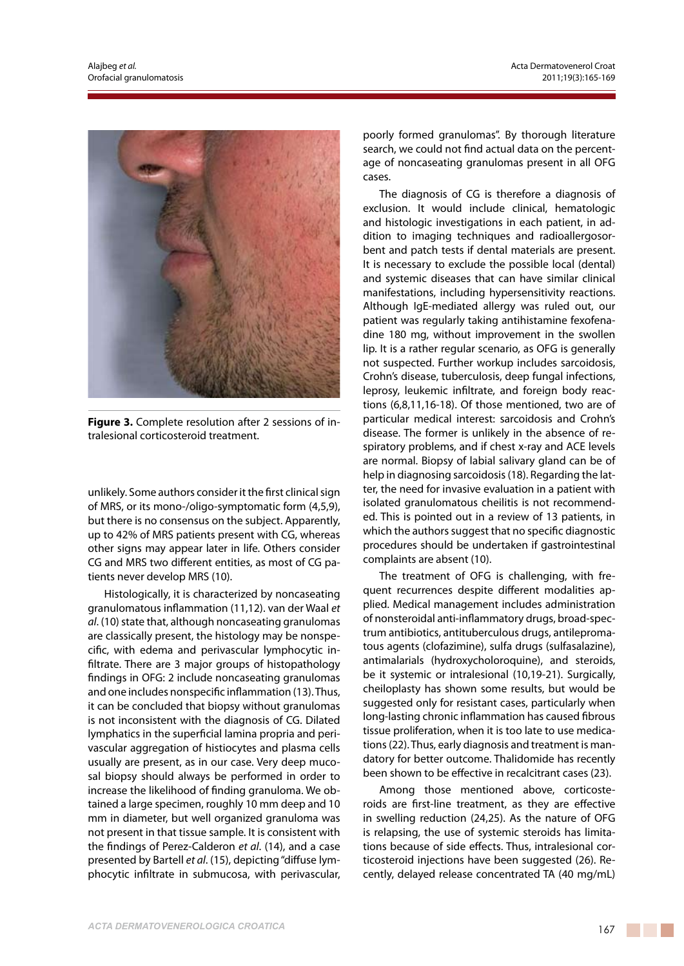

**Figure 3.** Complete resolution after 2 sessions of intralesional corticosteroid treatment.

unlikely. Some authors consider it the first clinical sign of MRS, or its mono-/oligo-symptomatic form (4,5,9), but there is no consensus on the subject. Apparently, up to 42% of MRS patients present with CG, whereas other signs may appear later in life. Others consider CG and MRS two different entities, as most of CG patients never develop MRS (10).

Histologically, it is characterized by noncaseating granulomatous inflammation (11,12). van der Waal *et al*. (10) state that, although noncaseating granulomas are classically present, the histology may be nonspecific, with edema and perivascular lymphocytic infiltrate. There are 3 major groups of histopathology findings in OFG: 2 include noncaseating granulomas and one includes nonspecific inflammation (13). Thus, it can be concluded that biopsy without granulomas is not inconsistent with the diagnosis of CG. Dilated lymphatics in the superficial lamina propria and perivascular aggregation of histiocytes and plasma cells usually are present, as in our case. Very deep mucosal biopsy should always be performed in order to increase the likelihood of finding granuloma. We obtained a large specimen, roughly 10 mm deep and 10 mm in diameter, but well organized granuloma was not present in that tissue sample. It is consistent with the findings of Perez-Calderon *et al*. (14), and a case presented by Bartell *et al*. (15), depicting "diffuse lymphocytic infiltrate in submucosa, with perivascular, poorly formed granulomas". By thorough literature search, we could not find actual data on the percentage of noncaseating granulomas present in all OFG cases.

The diagnosis of CG is therefore a diagnosis of exclusion. It would include clinical, hematologic and histologic investigations in each patient, in addition to imaging techniques and radioallergosorbent and patch tests if dental materials are present. It is necessary to exclude the possible local (dental) and systemic diseases that can have similar clinical manifestations, including hypersensitivity reactions. Although IgE-mediated allergy was ruled out, our patient was regularly taking antihistamine fexofenadine 180 mg, without improvement in the swollen lip. It is a rather regular scenario, as OFG is generally not suspected. Further workup includes sarcoidosis, Crohn's disease, tuberculosis, deep fungal infections, leprosy, leukemic infiltrate, and foreign body reactions (6,8,11,16-18). Of those mentioned, two are of particular medical interest: sarcoidosis and Crohn's disease. The former is unlikely in the absence of respiratory problems, and if chest x-ray and ACE levels are normal. Biopsy of labial salivary gland can be of help in diagnosing sarcoidosis (18). Regarding the latter, the need for invasive evaluation in a patient with isolated granulomatous cheilitis is not recommended. This is pointed out in a review of 13 patients, in which the authors suggest that no specific diagnostic procedures should be undertaken if gastrointestinal complaints are absent (10).

The treatment of OFG is challenging, with frequent recurrences despite different modalities applied. Medical management includes administration of nonsteroidal anti-inflammatory drugs, broad-spectrum antibiotics, antituberculous drugs, antilepromatous agents (clofazimine), sulfa drugs (sulfasalazine), antimalarials (hydroxycholoroquine), and steroids, be it systemic or intralesional (10,19-21). Surgically, cheiloplasty has shown some results, but would be suggested only for resistant cases, particularly when long-lasting chronic inflammation has caused fibrous tissue proliferation, when it is too late to use medications (22). Thus, early diagnosis and treatment is mandatory for better outcome. Thalidomide has recently been shown to be effective in recalcitrant cases (23).

Among those mentioned above, corticosteroids are first-line treatment, as they are effective in swelling reduction (24,25). As the nature of OFG is relapsing, the use of systemic steroids has limitations because of side effects. Thus, intralesional corticosteroid injections have been suggested (26). Recently, delayed release concentrated TA (40 mg/mL)

. . .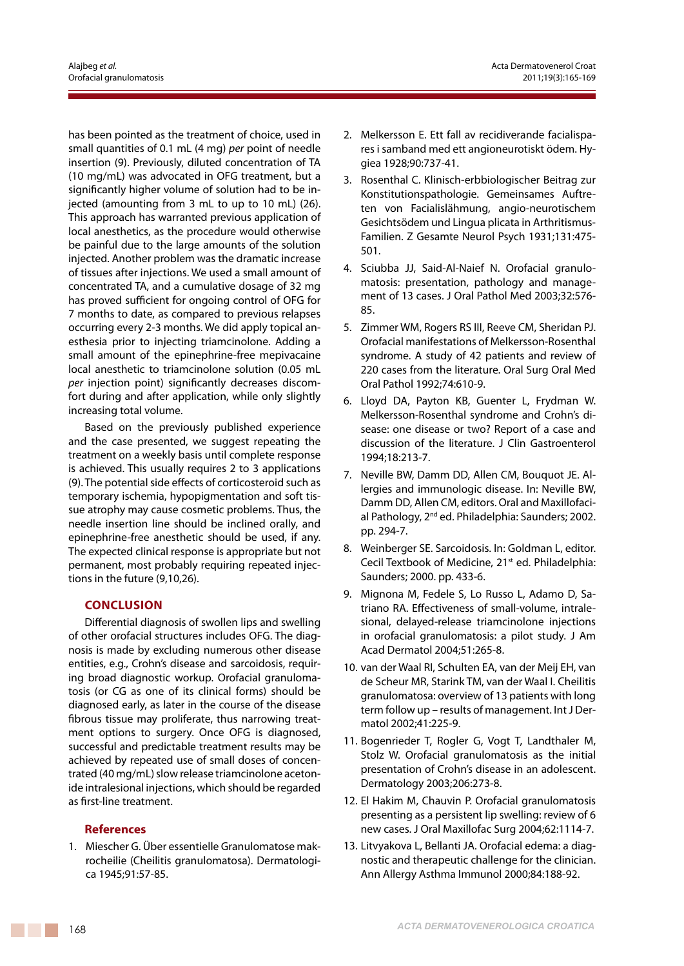has been pointed as the treatment of choice, used in small quantities of 0.1 mL (4 mg) *per* point of needle insertion (9). Previously, diluted concentration of TA (10 mg/mL) was advocated in OFG treatment, but a significantly higher volume of solution had to be injected (amounting from 3 mL to up to 10 mL) (26). This approach has warranted previous application of local anesthetics, as the procedure would otherwise be painful due to the large amounts of the solution injected. Another problem was the dramatic increase of tissues after injections. We used a small amount of concentrated TA, and a cumulative dosage of 32 mg has proved sufficient for ongoing control of OFG for 7 months to date, as compared to previous relapses occurring every 2-3 months. We did apply topical anesthesia prior to injecting triamcinolone. Adding a small amount of the epinephrine-free mepivacaine local anesthetic to triamcinolone solution (0.05 mL *per* injection point) significantly decreases discomfort during and after application, while only slightly increasing total volume.

Based on the previously published experience and the case presented, we suggest repeating the treatment on a weekly basis until complete response is achieved. This usually requires 2 to 3 applications (9). The potential side effects of corticosteroid such as temporary ischemia, hypopigmentation and soft tissue atrophy may cause cosmetic problems. Thus, the needle insertion line should be inclined orally, and epinephrine-free anesthetic should be used, if any. The expected clinical response is appropriate but not permanent, most probably requiring repeated injections in the future (9,10,26).

## **Conclusion**

Differential diagnosis of swollen lips and swelling of other orofacial structures includes OFG. The diagnosis is made by excluding numerous other disease entities, e.g., Crohn's disease and sarcoidosis, requiring broad diagnostic workup. Orofacial granulomatosis (or CG as one of its clinical forms) should be diagnosed early, as later in the course of the disease fibrous tissue may proliferate, thus narrowing treatment options to surgery. Once OFG is diagnosed, successful and predictable treatment results may be achieved by repeated use of small doses of concentrated (40 mg/mL) slow release triamcinolone acetonide intralesional injections, which should be regarded as first-line treatment.

## **References**

1. Miescher G. über essentielle Granulomatose makrocheilie (Cheilitis granulomatosa). Dermatologica 1945;91:57-85.

- 2. Melkersson E. Ett fall av recidiverande facialispares i samband med ett angioneurotiskt ödem. Hygiea 1928;90:737-41.
- 3. Rosenthal C. Klinisch-erbbiologischer Beitrag zur Konstitutionspathologie. Gemeinsames Auftreten von Facialislähmung, angio-neurotischem Gesichtsödem und Lingua plicata in Arthritismus-Familien. Z Gesamte Neurol Psych 1931;131:475- 501.
- 4. Sciubba JJ, Said-Al-Naief N. Orofacial granulomatosis: presentation, pathology and management of 13 cases. J Oral Pathol Med 2003;32:576- 85.
- 5. Zimmer WM, Rogers RS III, Reeve CM, Sheridan PJ. Orofacial manifestations of Melkersson-Rosenthal syndrome. A study of 42 patients and review of 220 cases from the literature. Oral Surg Oral Med Oral Pathol 1992;74:610-9.
- 6. Lloyd DA, Payton KB, Guenter L, Frydman W. Melkersson-Rosenthal syndrome and Crohn's disease: one disease or two? Report of a case and discussion of the literature. J Clin Gastroenterol 1994;18:213-7.
- 7. Neville BW, Damm DD, Allen CM, Bouquot JE. Allergies and immunologic disease. In: Neville BW, Damm DD, Allen CM, editors. Oral and Maxillofacial Pathology, 2<sup>nd</sup> ed. Philadelphia: Saunders; 2002. pp. 294-7.
- 8. Weinberger SE. Sarcoidosis. In: Goldman L, editor. Cecil Textbook of Medicine, 21<sup>st</sup> ed. Philadelphia: Saunders; 2000. pp. 433-6.
- 9. Mignona M, Fedele S, Lo Russo L, Adamo D, Satriano RA. Effectiveness of small-volume, intralesional, delayed-release triamcinolone injections in orofacial granulomatosis: a pilot study. J Am Acad Dermatol 2004;51:265-8.
- 10. van der Waal RI, Schulten EA, van der Meij EH, van de Scheur MR, Starink TM, van der Waal I. Cheilitis granulomatosa: overview of 13 patients with long term follow up – results of management. Int J Dermatol 2002;41:225-9.
- 11. Bogenrieder T, Rogler G, Vogt T, Landthaler M, Stolz W. Orofacial granulomatosis as the initial presentation of Crohn's disease in an adolescent. Dermatology 2003;206:273-8.
- 12. El Hakim M, Chauvin P. Orofacial granulomatosis presenting as a persistent lip swelling: review of 6 new cases. J Oral Maxillofac Surg 2004;62:1114-7.
- 13. Litvyakova L, Bellanti JA. Orofacial edema: a diagnostic and therapeutic challenge for the clinician. Ann Allergy Asthma Immunol 2000;84:188-92.